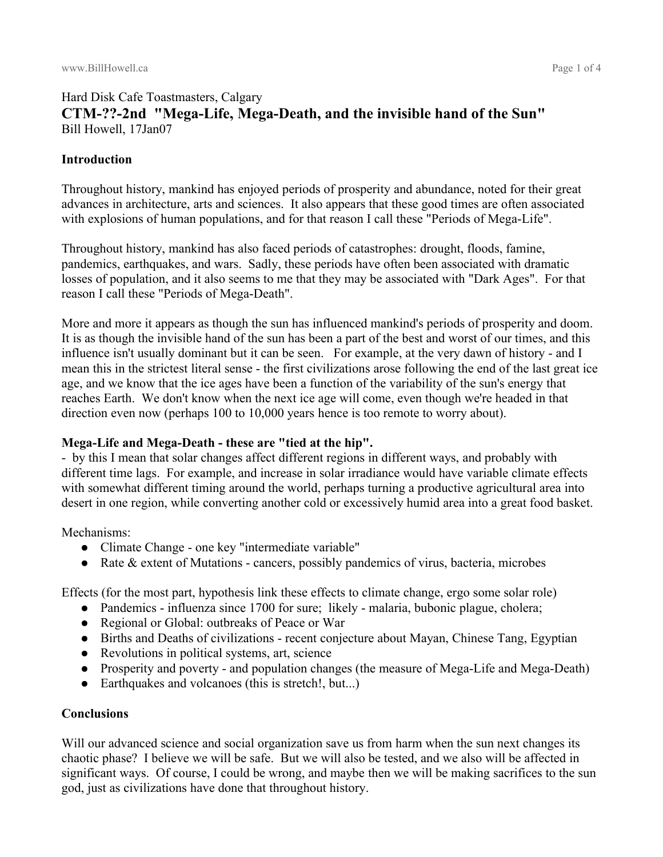## Hard Disk Cafe Toastmasters, Calgary **CTM-??-2nd "Mega-Life, Mega-Death, and the invisible hand of the Sun"** Bill Howell, 17Jan07

### **Introduction**

Throughout history, mankind has enjoyed periods of prosperity and abundance, noted for their great advances in architecture, arts and sciences. It also appears that these good times are often associated with explosions of human populations, and for that reason I call these "Periods of Mega-Life".

Throughout history, mankind has also faced periods of catastrophes: drought, floods, famine, pandemics, earthquakes, and wars. Sadly, these periods have often been associated with dramatic losses of population, and it also seems to me that they may be associated with "Dark Ages". For that reason I call these "Periods of Mega-Death".

More and more it appears as though the sun has influenced mankind's periods of prosperity and doom. It is as though the invisible hand of the sun has been a part of the best and worst of our times, and this influence isn't usually dominant but it can be seen. For example, at the very dawn of history - and I mean this in the strictest literal sense - the first civilizations arose following the end of the last great ice age, and we know that the ice ages have been a function of the variability of the sun's energy that reaches Earth. We don't know when the next ice age will come, even though we're headed in that direction even now (perhaps 100 to 10,000 years hence is too remote to worry about).

#### **Mega-Life and Mega-Death - these are "tied at the hip".**

- by this I mean that solar changes affect different regions in different ways, and probably with different time lags. For example, and increase in solar irradiance would have variable climate effects with somewhat different timing around the world, perhaps turning a productive agricultural area into desert in one region, while converting another cold or excessively humid area into a great food basket.

#### Mechanisms:

- Climate Change one key "intermediate variable"
- Rate & extent of Mutations cancers, possibly pandemics of virus, bacteria, microbes

Effects (for the most part, hypothesis link these effects to climate change, ergo some solar role)

- Pandemics influenza since 1700 for sure; likely malaria, bubonic plague, cholera;
- Regional or Global: outbreaks of Peace or War
- Births and Deaths of civilizations recent conjecture about Mayan, Chinese Tang, Egyptian
- Revolutions in political systems, art, science
- Prosperity and poverty and population changes (the measure of Mega-Life and Mega-Death)
- Earthquakes and volcanoes (this is stretch!, but...)

## **Conclusions**

Will our advanced science and social organization save us from harm when the sun next changes its chaotic phase? I believe we will be safe. But we will also be tested, and we also will be affected in significant ways. Of course, I could be wrong, and maybe then we will be making sacrifices to the sun god, just as civilizations have done that throughout history.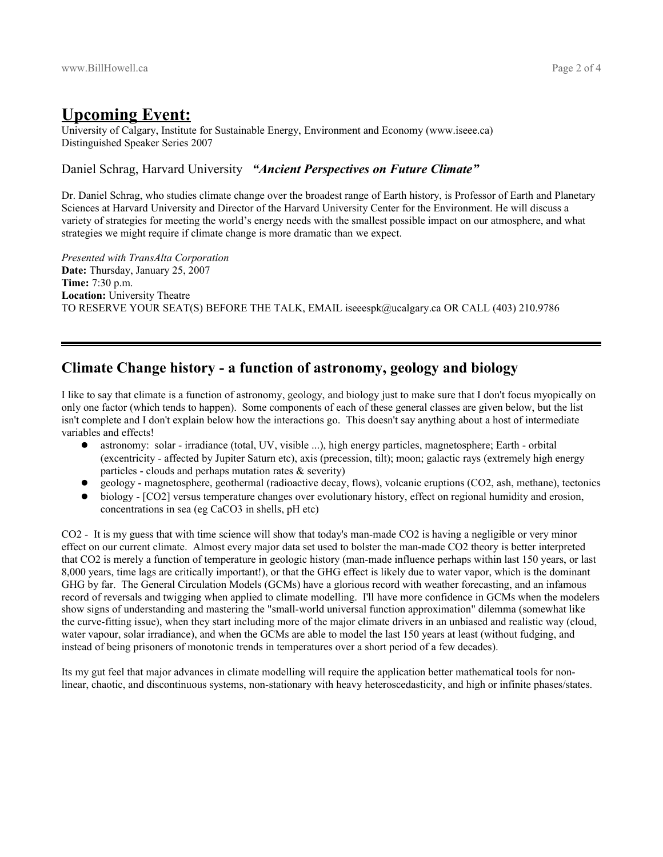## **Upcoming Event:**

University of Calgary, Institute for Sustainable Energy, Environment and Economy (www.iseee.ca) Distinguished Speaker Series 2007

#### Daniel Schrag, Harvard University *"Ancient Perspectives on Future Climate"*

Dr. Daniel Schrag, who studies climate change over the broadest range of Earth history, is Professor of Earth and Planetary Sciences at Harvard University and Director of the Harvard University Center for the Environment. He will discuss a variety of strategies for meeting the world's energy needs with the smallest possible impact on our atmosphere, and what strategies we might require if climate change is more dramatic than we expect.

*Presented with TransAlta Corporation* **Date:** Thursday, January 25, 2007 **Time:** 7:30 p.m. **Location:** University Theatre TO RESERVE YOUR SEAT(S) BEFORE THE TALK, EMAIL iseeespk@ucalgary.ca OR CALL (403) 210.9786

## **Climate Change history - a function of astronomy, geology and biology**

I like to say that climate is a function of astronomy, geology, and biology just to make sure that I don't focus myopically on only one factor (which tends to happen). Some components of each of these general classes are given below, but the list isn't complete and I don't explain below how the interactions go. This doesn't say anything about a host of intermediate variables and effects!

- astronomy: solar irradiance (total, UV, visible ...), high energy particles, magnetosphere; Earth orbital (excentricity - affected by Jupiter Saturn etc), axis (precession, tilt); moon; galactic rays (extremely high energy particles - clouds and perhaps mutation rates & severity)
- geology magnetosphere, geothermal (radioactive decay, flows), volcanic eruptions (CO2, ash, methane), tectonics
- biology [CO2] versus temperature changes over evolutionary history, effect on regional humidity and erosion, concentrations in sea (eg CaCO3 in shells, pH etc)

CO2 - It is my guess that with time science will show that today's man-made CO2 is having a negligible or very minor effect on our current climate. Almost every major data set used to bolster the man-made CO2 theory is better interpreted that CO2 is merely a function of temperature in geologic history (man-made influence perhaps within last 150 years, or last 8,000 years, time lags are critically important!), or that the GHG effect is likely due to water vapor, which is the dominant GHG by far. The General Circulation Models (GCMs) have a glorious record with weather forecasting, and an infamous record of reversals and twigging when applied to climate modelling. I'll have more confidence in GCMs when the modelers show signs of understanding and mastering the "small-world universal function approximation" dilemma (somewhat like the curve-fitting issue), when they start including more of the major climate drivers in an unbiased and realistic way (cloud, water vapour, solar irradiance), and when the GCMs are able to model the last 150 years at least (without fudging, and instead of being prisoners of monotonic trends in temperatures over a short period of a few decades).

Its my gut feel that major advances in climate modelling will require the application better mathematical tools for nonlinear, chaotic, and discontinuous systems, non-stationary with heavy heteroscedasticity, and high or infinite phases/states.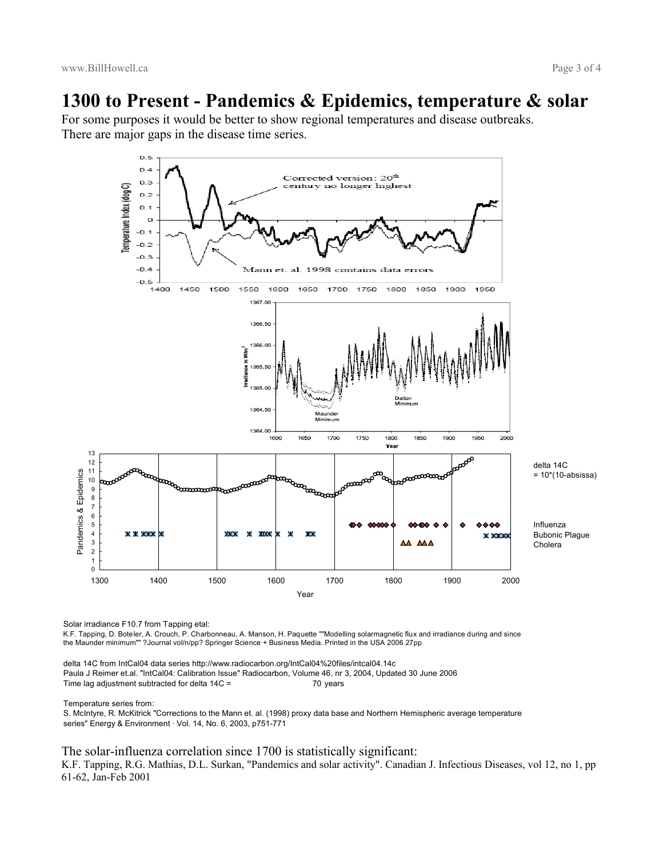# **1300 to Present - Pandemics & Epidemics, temperature & solar**

For some purposes it would be better to show regional temperatures and disease outbreaks. There are major gaps in the disease time series.



Solar irradiance F10.7 from Tapping etal:

K.F. Tapping, D. Boteler, A. Crouch, P. Charbonneau, A. Manson, H. Paquette ""Modelling solarmagnetic flux and irradiance during and since the Maunder minimum"" ?Journal vol/n/pp? Springer Science + Business Media. Printed in the USA 2006 27pp

delta 14C from IntCal04 data series http://www.radiocarbon.org/IntCal04%20files/intcal04.14c Paula J Reimer et.al. "IntCal04: Calibration Issue" Radiocarbon, Volume 46, nr 3, 2004, Updated 30 June 2006 Time lag adjustment subtracted for delta 14C = 70 years

Temperature series from:

S. McIntyre, R. McKitrick "Corrections to the Mann et. al. (1998) proxy data base and Northern Hemispheric average temperature series" Energy & Environment · Vol. 14, No. 6, 2003, p751-771

The solar-influenza correlation since 1700 is statistically significant:

K.F. Tapping, R.G. Mathias, D.L. Surkan, "Pandemics and solar activity". Canadian J. Infectious Diseases, vol 12, no 1, pp 61-62, Jan-Feb 2001